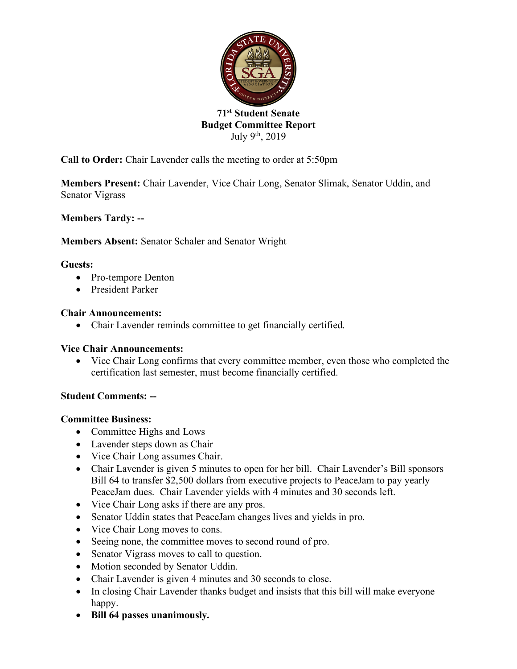

# **71st Student Senate Budget Committee Report** July 9th, 2019

**Call to Order:** Chair Lavender calls the meeting to order at 5:50pm

**Members Present:** Chair Lavender, Vice Chair Long, Senator Slimak, Senator Uddin, and Senator Vigrass

**Members Tardy: --**

**Members Absent:** Senator Schaler and Senator Wright

## **Guests:**

- Pro-tempore Denton
- President Parker

## **Chair Announcements:**

• Chair Lavender reminds committee to get financially certified.

#### **Vice Chair Announcements:**

• Vice Chair Long confirms that every committee member, even those who completed the certification last semester, must become financially certified.

# **Student Comments: --**

#### **Committee Business:**

- Committee Highs and Lows
- Lavender steps down as Chair
- Vice Chair Long assumes Chair.
- Chair Lavender is given 5 minutes to open for her bill. Chair Lavender's Bill sponsors Bill 64 to transfer \$2,500 dollars from executive projects to PeaceJam to pay yearly PeaceJam dues. Chair Lavender yields with 4 minutes and 30 seconds left.
- Vice Chair Long asks if there are any pros.
- Senator Uddin states that PeaceJam changes lives and yields in pro.
- Vice Chair Long moves to cons.
- Seeing none, the committee moves to second round of pro.
- Senator Vigrass moves to call to question.
- Motion seconded by Senator Uddin.
- Chair Lavender is given 4 minutes and 30 seconds to close.
- In closing Chair Lavender thanks budget and insists that this bill will make everyone happy.
- **Bill 64 passes unanimously.**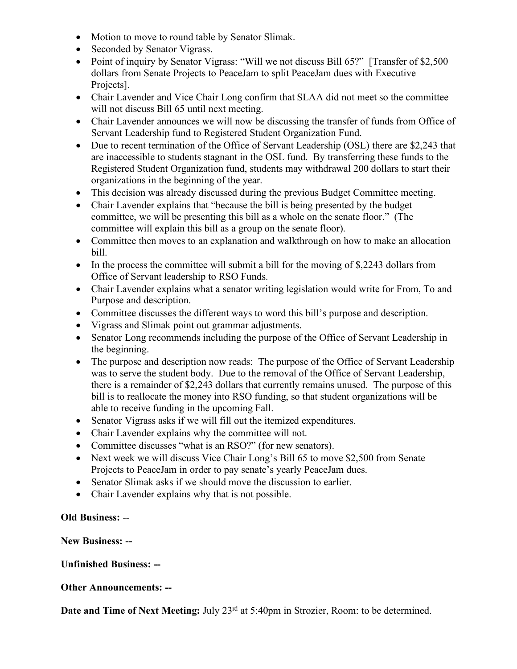- Motion to move to round table by Senator Slimak.
- Seconded by Senator Vigrass.
- Point of inquiry by Senator Vigrass: "Will we not discuss Bill 65?" [Transfer of \$2,500] dollars from Senate Projects to PeaceJam to split PeaceJam dues with Executive Projects<sup>1</sup>.
- Chair Lavender and Vice Chair Long confirm that SLAA did not meet so the committee will not discuss Bill 65 until next meeting.
- Chair Lavender announces we will now be discussing the transfer of funds from Office of Servant Leadership fund to Registered Student Organization Fund.
- Due to recent termination of the Office of Servant Leadership (OSL) there are \$2.243 that are inaccessible to students stagnant in the OSL fund. By transferring these funds to the Registered Student Organization fund, students may withdrawal 200 dollars to start their organizations in the beginning of the year.
- This decision was already discussed during the previous Budget Committee meeting.
- Chair Lavender explains that "because the bill is being presented by the budget committee, we will be presenting this bill as a whole on the senate floor." (The committee will explain this bill as a group on the senate floor).
- Committee then moves to an explanation and walkthrough on how to make an allocation bill.
- In the process the committee will submit a bill for the moving of \$,2243 dollars from Office of Servant leadership to RSO Funds.
- Chair Lavender explains what a senator writing legislation would write for From, To and Purpose and description.
- Committee discusses the different ways to word this bill's purpose and description.
- Vigrass and Slimak point out grammar adjustments.
- Senator Long recommends including the purpose of the Office of Servant Leadership in the beginning.
- The purpose and description now reads: The purpose of the Office of Servant Leadership was to serve the student body. Due to the removal of the Office of Servant Leadership, there is a remainder of \$2,243 dollars that currently remains unused. The purpose of this bill is to reallocate the money into RSO funding, so that student organizations will be able to receive funding in the upcoming Fall.
- Senator Vigrass asks if we will fill out the itemized expenditures.
- Chair Lavender explains why the committee will not.
- Committee discusses "what is an RSO?" (for new senators).
- Next week we will discuss Vice Chair Long's Bill 65 to move \$2,500 from Senate Projects to PeaceJam in order to pay senate's yearly PeaceJam dues.
- Senator Slimak asks if we should move the discussion to earlier.
- Chair Lavender explains why that is not possible.

#### **Old Business:** --

#### **New Business: --**

#### **Unfinished Business: --**

#### **Other Announcements: --**

**Date and Time of Next Meeting:** July 23<sup>rd</sup> at 5:40pm in Strozier, Room: to be determined.